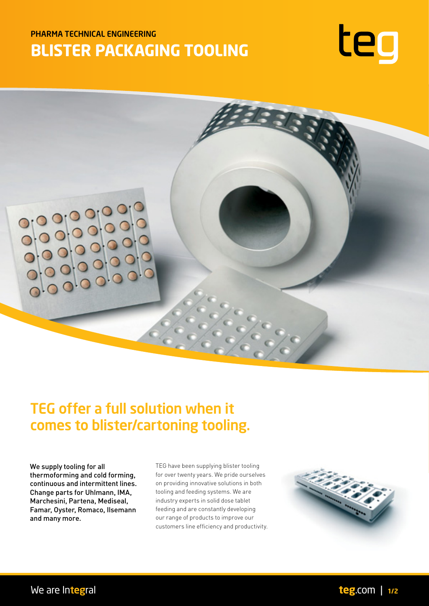# PHARMA TECHNICAL ENGINEERING **BLISTER PACKAGING TOOLING**





# TEG offer a full solution when it comes to blister/cartoning tooling.

We supply tooling for all thermoforming and cold forming, continuous and intermittent lines. Change parts for Uhlmann, IMA, Marchesini, Partena, Mediseal, Famar, Oyster, Romaco, Ilsemann and many more.

TEG have been supplying blister tooling for over twenty years. We pride ourselves on providing innovative solutions in both tooling and feeding systems. We are industry experts in solid dose tablet feeding and are constantly developing our range of products to improve our customers line efficiency and productivity.